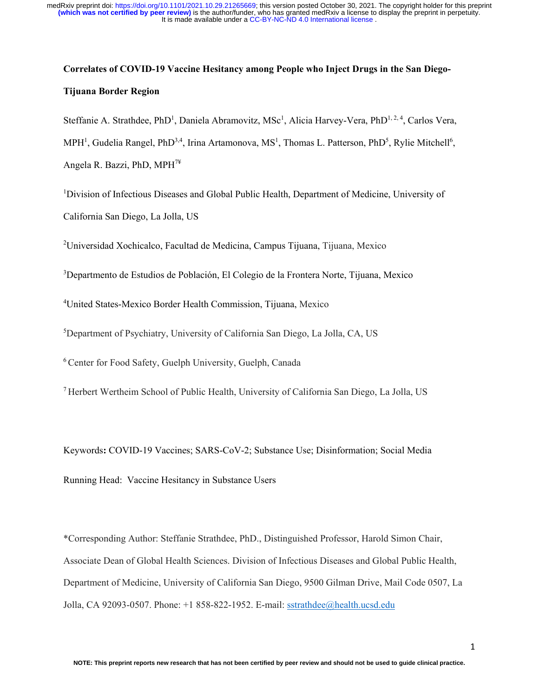# **Correlates of COVID-19 Vaccine Hesitancy among People who Inject Drugs in the San Diego-Tijuana Border Region**

Steffanie A. Strathdee, PhD<sup>1</sup>, Daniela Abramovitz, MSc<sup>1</sup>, Alicia Harvey-Vera, PhD<sup>1,2,4</sup>, Carlos Vera, MPH<sup>1</sup>, Gudelia Rangel, PhD<sup>3,4</sup>, Irina Artamonova, MS<sup>1</sup>, Thomas L. Patterson, PhD<sup>5</sup>, Rylie Mitchell<sup>6</sup>, Angela R. Bazzi, PhD, MPH7¥

<sup>1</sup>Division of Infectious Diseases and Global Public Health, Department of Medicine, University of California San Diego, La Jolla, US

<sup>2</sup>Universidad Xochicalco, Facultad de Medicina, Campus Tijuana, Tijuana, Mexico

<sup>3</sup>Departmento de Estudios de Población, El Colegio de la Frontera Norte, Tijuana, Mexico

4 United States-Mexico Border Health Commission, Tijuana, Mexico

5 Department of Psychiatry, University of California San Diego, La Jolla, CA, US

6 Center for Food Safety, Guelph University, Guelph, Canada

7 Herbert Wertheim School of Public Health, University of California San Diego, La Jolla, US

Keywords**:** COVID-19 Vaccines; SARS-CoV-2; Substance Use; Disinformation; Social Media Running Head: Vaccine Hesitancy in Substance Users

\*Corresponding Author: Steffanie Strathdee, PhD., Distinguished Professor, Harold Simon Chair, Associate Dean of Global Health Sciences. Division of Infectious Diseases and Global Public Health, Department of Medicine, University of California San Diego, 9500 Gilman Drive, Mail Code 0507, La Jolla, CA 92093-0507. Phone: +1 858-822-1952. E-mail: [sstrathdee@health.ucsd.edu](mailto:sstrathdee@health.ucsd.edu)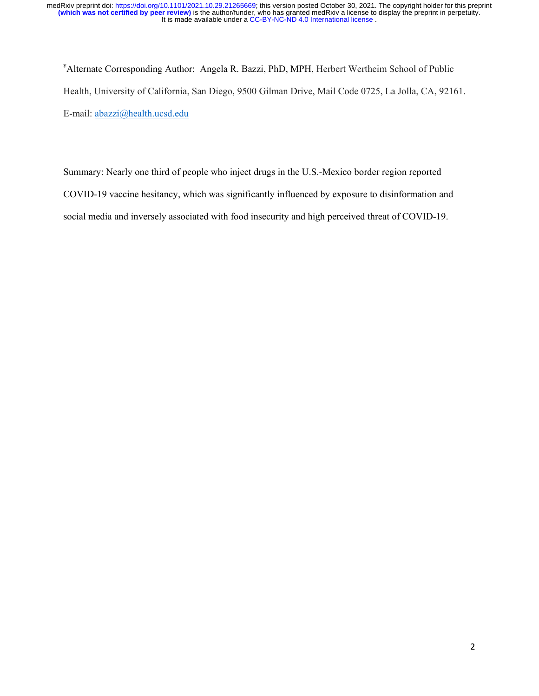¥ Alternate Corresponding Author: Angela R. Bazzi, PhD, MPH, Herbert Wertheim School of Public Health, University of California, San Diego, 9500 Gilman Drive, Mail Code 0725, La Jolla, CA, 92161. E-mail: [abazzi@health.ucsd.edu](mailto:abazzi@health.ucsd.edu)

Summary: Nearly one third of people who inject drugs in the U.S.-Mexico border region reported COVID-19 vaccine hesitancy, which was significantly influenced by exposure to disinformation and social media and inversely associated with food insecurity and high perceived threat of COVID-19.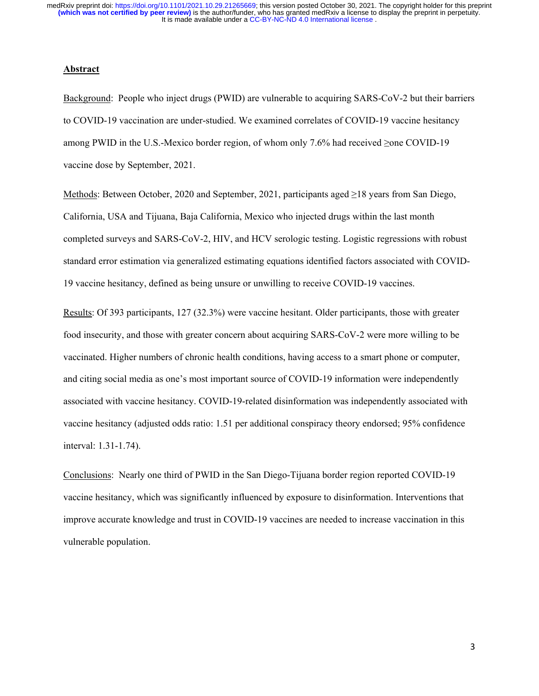#### **Abstract**

Background: People who inject drugs (PWID) are vulnerable to acquiring SARS-CoV-2 but their barriers to COVID-19 vaccination are under-studied. We examined correlates of COVID-19 vaccine hesitancy among PWID in the U.S.-Mexico border region, of whom only 7.6% had received ≥one COVID-19 vaccine dose by September, 2021.

Methods: Between October, 2020 and September, 2021, participants aged ≥18 years from San Diego, California, USA and Tijuana, Baja California, Mexico who injected drugs within the last month completed surveys and SARS-CoV-2, HIV, and HCV serologic testing. Logistic regressions with robust standard error estimation via generalized estimating equations identified factors associated with COVID-19 vaccine hesitancy, defined as being unsure or unwilling to receive COVID-19 vaccines.

Results: Of 393 participants, 127 (32.3%) were vaccine hesitant. Older participants, those with greater food insecurity, and those with greater concern about acquiring SARS-CoV-2 were more willing to be vaccinated. Higher numbers of chronic health conditions, having access to a smart phone or computer, and citing social media as one's most important source of COVID-19 information were independently associated with vaccine hesitancy. COVID-19-related disinformation was independently associated with vaccine hesitancy (adjusted odds ratio: 1.51 per additional conspiracy theory endorsed; 95% confidence interval: 1.31-1.74).

Conclusions: Nearly one third of PWID in the San Diego-Tijuana border region reported COVID-19 vaccine hesitancy, which was significantly influenced by exposure to disinformation. Interventions that improve accurate knowledge and trust in COVID-19 vaccines are needed to increase vaccination in this vulnerable population.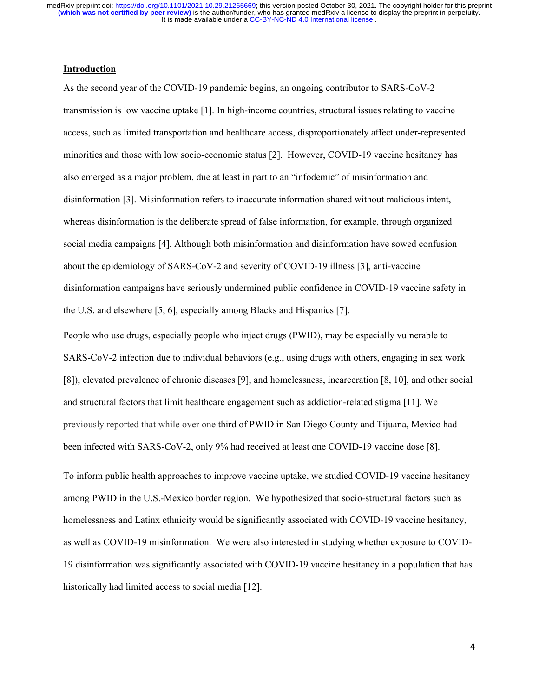### **Introduction**

As the second year of the COVID-19 pandemic begins, an ongoing contributor to SARS-CoV-2 transmission is low vaccine uptake [1]. In high-income countries, structural issues relating to vaccine access, such as limited transportation and healthcare access, disproportionately affect under-represented minorities and those with low socio-economic status [2]. However, COVID-19 vaccine hesitancy has also emerged as a major problem, due at least in part to an "infodemic" of misinformation and disinformation [3]. Misinformation refers to inaccurate information shared without malicious intent, whereas disinformation is the deliberate spread of false information, for example, through organized social media campaigns [4]. Although both misinformation and disinformation have sowed confusion about the epidemiology of SARS-CoV-2 and severity of COVID-19 illness [3], anti-vaccine disinformation campaigns have seriously undermined public confidence in COVID-19 vaccine safety in the U.S. and elsewhere [5, 6], especially among Blacks and Hispanics [7].

People who use drugs, especially people who inject drugs (PWID), may be especially vulnerable to SARS-CoV-2 infection due to individual behaviors (e.g., using drugs with others, engaging in sex work [8]), elevated prevalence of chronic diseases [9], and homelessness, incarceration [8, 10], and other social and structural factors that limit healthcare engagement such as addiction-related stigma [11]. We previously reported that while over one third of PWID in San Diego County and Tijuana, Mexico had been infected with SARS-CoV-2, only 9% had received at least one COVID-19 vaccine dose [8].

To inform public health approaches to improve vaccine uptake, we studied COVID-19 vaccine hesitancy among PWID in the U.S.-Mexico border region. We hypothesized that socio-structural factors such as homelessness and Latinx ethnicity would be significantly associated with COVID-19 vaccine hesitancy, as well as COVID-19 misinformation. We were also interested in studying whether exposure to COVID-19 disinformation was significantly associated with COVID-19 vaccine hesitancy in a population that has historically had limited access to social media [12].

4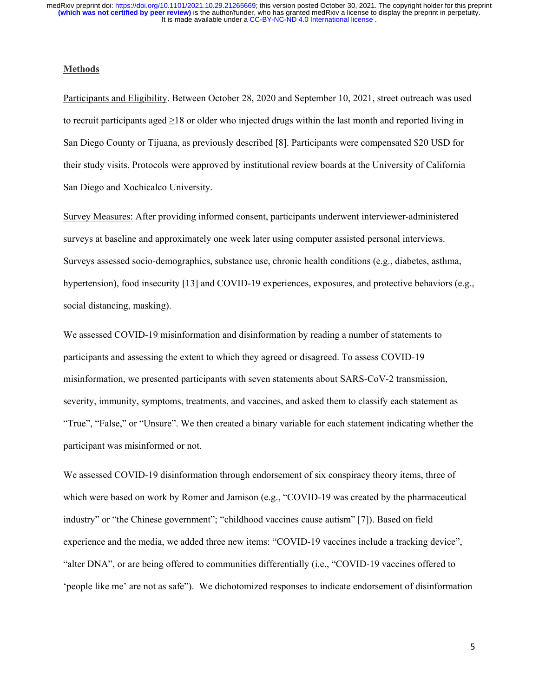#### **Methods**

Participants and Eligibility. Between October 28, 2020 and September 10, 2021, street outreach was used to recruit participants aged ≥18 or older who injected drugs within the last month and reported living in San Diego County or Tijuana, as previously described [8]. Participants were compensated \$20 USD for their study visits. Protocols were approved by institutional review boards at the University of California San Diego and Xochicalco University.

Survey Measures: After providing informed consent, participants underwent interviewer-administered surveys at baseline and approximately one week later using computer assisted personal interviews. Surveys assessed socio-demographics, substance use, chronic health conditions (e.g., diabetes, asthma, hypertension), food insecurity [13] and COVID-19 experiences, exposures, and protective behaviors (e.g., social distancing, masking).

We assessed COVID-19 misinformation and disinformation by reading a number of statements to participants and assessing the extent to which they agreed or disagreed. To assess COVID-19 misinformation, we presented participants with seven statements about SARS-CoV-2 transmission, severity, immunity, symptoms, treatments, and vaccines, and asked them to classify each statement as "True", "False," or "Unsure". We then created a binary variable for each statement indicating whether the participant was misinformed or not.

We assessed COVID-19 disinformation through endorsement of six conspiracy theory items, three of which were based on work by Romer and Jamison (e.g., "COVID-19 was created by the pharmaceutical industry" or "the Chinese government"; "childhood vaccines cause autism" [7]). Based on field experience and the media, we added three new items: "COVID-19 vaccines include a tracking device", "alter DNA", or are being offered to communities differentially (i.e., "COVID-19 vaccines offered to 'people like me' are not as safe"). We dichotomized responses to indicate endorsement of disinformation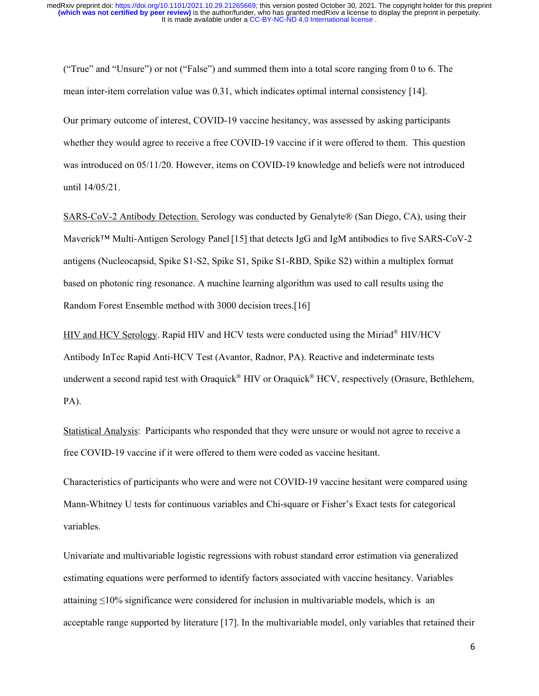("True" and "Unsure") or not ("False") and summed them into a total score ranging from 0 to 6. The mean inter-item correlation value was 0.31, which indicates optimal internal consistency [14].

Our primary outcome of interest, COVID-19 vaccine hesitancy, was assessed by asking participants whether they would agree to receive a free COVID-19 vaccine if it were offered to them. This question was introduced on 05/11/20. However, items on COVID-19 knowledge and beliefs were not introduced until 14/05/21.

SARS-CoV-2 Antibody Detection. Serology was conducted by Genalyte® (San Diego, CA), using their Maverick™ Multi-Antigen Serology Panel[15] that detects IgG and IgM antibodies to five SARS-CoV-2 antigens (Nucleocapsid, Spike S1-S2, Spike S1, Spike S1-RBD, Spike S2) within a multiplex format based on photonic ring resonance. A machine learning algorithm was used to call results using the Random Forest Ensemble method with 3000 decision trees.[16]

HIV and HCV Serology. Rapid HIV and HCV tests were conducted using the Miriad® HIV/HCV Antibody InTec Rapid Anti-HCV Test (Avantor, Radnor, PA). Reactive and indeterminate tests underwent a second rapid test with Oraquick® HIV or Oraquick® HCV, respectively (Orasure, Bethlehem, PA).

Statistical Analysis: Participants who responded that they were unsure or would not agree to receive a free COVID-19 vaccine if it were offered to them were coded as vaccine hesitant.

Characteristics of participants who were and were not COVID-19 vaccine hesitant were compared using Mann-Whitney U tests for continuous variables and Chi-square or Fisher's Exact tests for categorical variables.

Univariate and multivariable logistic regressions with robust standard error estimation via generalized estimating equations were performed to identify factors associated with vaccine hesitancy. Variables attaining ≤10% significance were considered for inclusion in multivariable models, which is an acceptable range supported by literature [17]. In the multivariable model, only variables that retained their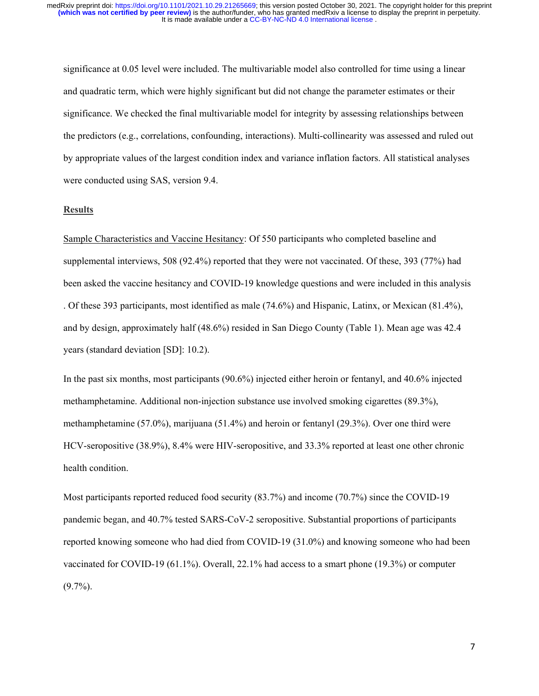significance at 0.05 level were included. The multivariable model also controlled for time using a linear and quadratic term, which were highly significant but did not change the parameter estimates or their significance. We checked the final multivariable model for integrity by assessing relationships between the predictors (e.g., correlations, confounding, interactions). Multi-collinearity was assessed and ruled out by appropriate values of the largest condition index and variance inflation factors. All statistical analyses were conducted using SAS, version 9.4.

### **Results**

Sample Characteristics and Vaccine Hesitancy: Of 550 participants who completed baseline and supplemental interviews, 508 (92.4%) reported that they were not vaccinated. Of these, 393 (77%) had been asked the vaccine hesitancy and COVID-19 knowledge questions and were included in this analysis . Of these 393 participants, most identified as male (74.6%) and Hispanic, Latinx, or Mexican (81.4%), and by design, approximately half (48.6%) resided in San Diego County (Table 1). Mean age was 42.4 years (standard deviation [SD]: 10.2).

In the past six months, most participants (90.6%) injected either heroin or fentanyl, and 40.6% injected methamphetamine. Additional non-injection substance use involved smoking cigarettes (89.3%), methamphetamine (57.0%), marijuana (51.4%) and heroin or fentanyl (29.3%). Over one third were HCV-seropositive (38.9%), 8.4% were HIV-seropositive, and 33.3% reported at least one other chronic health condition.

Most participants reported reduced food security (83.7%) and income (70.7%) since the COVID-19 pandemic began, and 40.7% tested SARS-CoV-2 seropositive. Substantial proportions of participants reported knowing someone who had died from COVID-19 (31.0%) and knowing someone who had been vaccinated for COVID-19 (61.1%). Overall, 22.1% had access to a smart phone (19.3%) or computer  $(9.7\%)$ .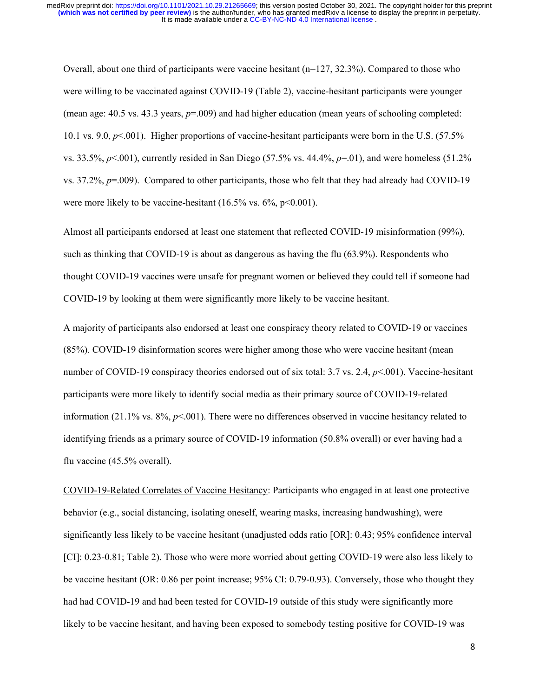Overall, about one third of participants were vaccine hesitant (n=127, 32.3%). Compared to those who were willing to be vaccinated against COVID-19 (Table 2), vaccine-hesitant participants were younger (mean age: 40.5 vs. 43.3 years,  $p=0.009$ ) and had higher education (mean years of schooling completed: 10.1 vs. 9.0, *p*<.001). Higher proportions of vaccine-hesitant participants were born in the U.S. (57.5% vs. 33.5%, *p*<.001), currently resided in San Diego (57.5% vs. 44.4%, *p*=.01), and were homeless (51.2% vs. 37.2%, *p*=.009). Compared to other participants, those who felt that they had already had COVID-19 were more likely to be vaccine-hesitant  $(16.5\% \text{ vs. } 6\%, \text{ p} < 0.001)$ .

Almost all participants endorsed at least one statement that reflected COVID-19 misinformation (99%), such as thinking that COVID-19 is about as dangerous as having the flu (63.9%). Respondents who thought COVID-19 vaccines were unsafe for pregnant women or believed they could tell if someone had COVID-19 by looking at them were significantly more likely to be vaccine hesitant.

A majority of participants also endorsed at least one conspiracy theory related to COVID-19 or vaccines (85%). COVID-19 disinformation scores were higher among those who were vaccine hesitant (mean number of COVID-19 conspiracy theories endorsed out of six total: 3.7 vs. 2.4, *p*<.001). Vaccine-hesitant participants were more likely to identify social media as their primary source of COVID-19-related information (21.1% vs.  $8\%, p<.001$ ). There were no differences observed in vaccine hesitancy related to identifying friends as a primary source of COVID-19 information (50.8% overall) or ever having had a flu vaccine (45.5% overall).

COVID-19-Related Correlates of Vaccine Hesitancy: Participants who engaged in at least one protective behavior (e.g., social distancing, isolating oneself, wearing masks, increasing handwashing), were significantly less likely to be vaccine hesitant (unadjusted odds ratio [OR]: 0.43; 95% confidence interval [CI]: 0.23-0.81; Table 2). Those who were more worried about getting COVID-19 were also less likely to be vaccine hesitant (OR: 0.86 per point increase; 95% CI: 0.79-0.93). Conversely, those who thought they had had COVID-19 and had been tested for COVID-19 outside of this study were significantly more likely to be vaccine hesitant, and having been exposed to somebody testing positive for COVID-19 was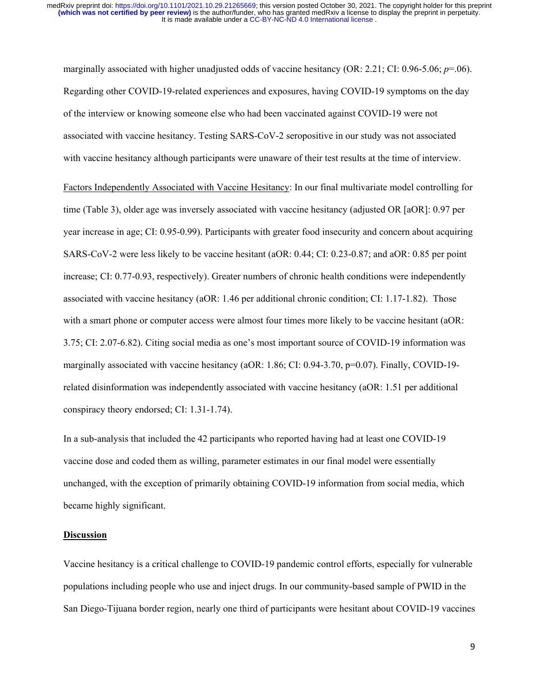marginally associated with higher unadjusted odds of vaccine hesitancy (OR: 2.21; CI: 0.96-5.06; *p*=.06). Regarding other COVID-19-related experiences and exposures, having COVID-19 symptoms on the day of the interview or knowing someone else who had been vaccinated against COVID-19 were not associated with vaccine hesitancy. Testing SARS-CoV-2 seropositive in our study was not associated with vaccine hesitancy although participants were unaware of their test results at the time of interview.

Factors Independently Associated with Vaccine Hesitancy: In our final multivariate model controlling for time (Table 3), older age was inversely associated with vaccine hesitancy (adjusted OR [aOR]: 0.97 per year increase in age; CI: 0.95-0.99). Participants with greater food insecurity and concern about acquiring SARS-CoV-2 were less likely to be vaccine hesitant (aOR: 0.44; CI: 0.23-0.87; and aOR: 0.85 per point increase; CI: 0.77-0.93, respectively). Greater numbers of chronic health conditions were independently associated with vaccine hesitancy (aOR: 1.46 per additional chronic condition; CI: 1.17-1.82). Those with a smart phone or computer access were almost four times more likely to be vaccine hesitant (aOR: 3.75; CI: 2.07-6.82). Citing social media as one's most important source of COVID-19 information was marginally associated with vaccine hesitancy (aOR: 1.86; CI: 0.94-3.70, p=0.07). Finally, COVID-19related disinformation was independently associated with vaccine hesitancy (aOR: 1.51 per additional conspiracy theory endorsed; CI: 1.31-1.74).

In a sub-analysis that included the 42 participants who reported having had at least one COVID-19 vaccine dose and coded them as willing, parameter estimates in our final model were essentially unchanged, with the exception of primarily obtaining COVID-19 information from social media, which became highly significant.

#### **Discussion**

Vaccine hesitancy is a critical challenge to COVID-19 pandemic control efforts, especially for vulnerable populations including people who use and inject drugs. In our community-based sample of PWID in the San Diego-Tijuana border region, nearly one third of participants were hesitant about COVID-19 vaccines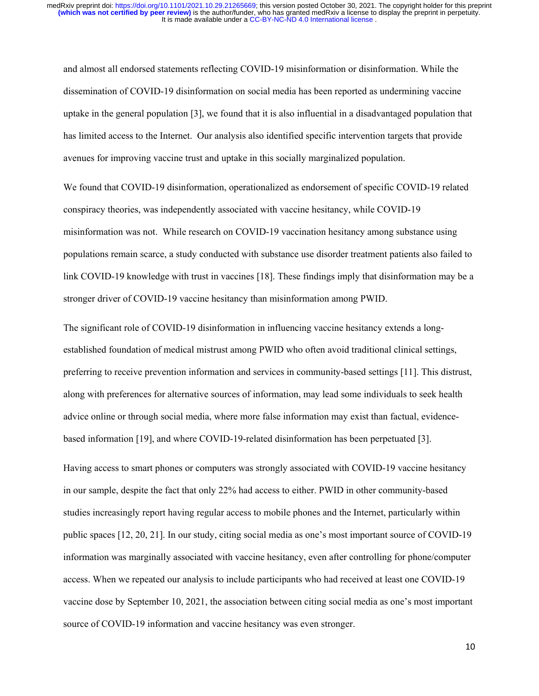and almost all endorsed statements reflecting COVID-19 misinformation or disinformation. While the dissemination of COVID-19 disinformation on social media has been reported as undermining vaccine uptake in the general population [3], we found that it is also influential in a disadvantaged population that has limited access to the Internet. Our analysis also identified specific intervention targets that provide avenues for improving vaccine trust and uptake in this socially marginalized population.

We found that COVID-19 disinformation, operationalized as endorsement of specific COVID-19 related conspiracy theories, was independently associated with vaccine hesitancy, while COVID-19 misinformation was not. While research on COVID-19 vaccination hesitancy among substance using populations remain scarce, a study conducted with substance use disorder treatment patients also failed to link COVID-19 knowledge with trust in vaccines [18]. These findings imply that disinformation may be a stronger driver of COVID-19 vaccine hesitancy than misinformation among PWID.

The significant role of COVID-19 disinformation in influencing vaccine hesitancy extends a longestablished foundation of medical mistrust among PWID who often avoid traditional clinical settings, preferring to receive prevention information and services in community-based settings [11]. This distrust, along with preferences for alternative sources of information, may lead some individuals to seek health advice online or through social media, where more false information may exist than factual, evidencebased information [19], and where COVID-19-related disinformation has been perpetuated [3].

Having access to smart phones or computers was strongly associated with COVID-19 vaccine hesitancy in our sample, despite the fact that only 22% had access to either. PWID in other community-based studies increasingly report having regular access to mobile phones and the Internet, particularly within public spaces [12, 20, 21]. In our study, citing social media as one's most important source of COVID-19 information was marginally associated with vaccine hesitancy, even after controlling for phone/computer access. When we repeated our analysis to include participants who had received at least one COVID-19 vaccine dose by September 10, 2021, the association between citing social media as one's most important source of COVID-19 information and vaccine hesitancy was even stronger.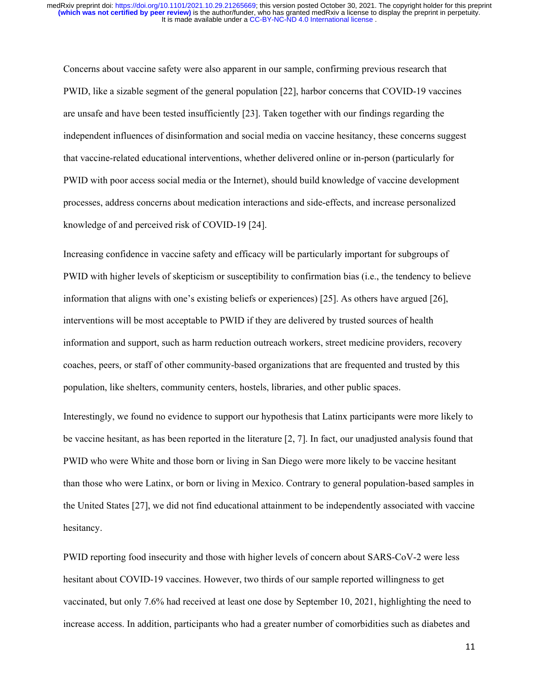Concerns about vaccine safety were also apparent in our sample, confirming previous research that PWID, like a sizable segment of the general population [22], harbor concerns that COVID-19 vaccines are unsafe and have been tested insufficiently [23]. Taken together with our findings regarding the independent influences of disinformation and social media on vaccine hesitancy, these concerns suggest that vaccine-related educational interventions, whether delivered online or in-person (particularly for PWID with poor access social media or the Internet), should build knowledge of vaccine development processes, address concerns about medication interactions and side-effects, and increase personalized knowledge of and perceived risk of COVID-19 [24].

Increasing confidence in vaccine safety and efficacy will be particularly important for subgroups of PWID with higher levels of skepticism or susceptibility to confirmation bias (i.e., the tendency to believe information that aligns with one's existing beliefs or experiences) [25]. As others have argued [26], interventions will be most acceptable to PWID if they are delivered by trusted sources of health information and support, such as harm reduction outreach workers, street medicine providers, recovery coaches, peers, or staff of other community-based organizations that are frequented and trusted by this population, like shelters, community centers, hostels, libraries, and other public spaces.

Interestingly, we found no evidence to support our hypothesis that Latinx participants were more likely to be vaccine hesitant, as has been reported in the literature [2, 7]. In fact, our unadjusted analysis found that PWID who were White and those born or living in San Diego were more likely to be vaccine hesitant than those who were Latinx, or born or living in Mexico. Contrary to general population-based samples in the United States [27], we did not find educational attainment to be independently associated with vaccine hesitancy.

PWID reporting food insecurity and those with higher levels of concern about SARS-CoV-2 were less hesitant about COVID-19 vaccines. However, two thirds of our sample reported willingness to get vaccinated, but only 7.6% had received at least one dose by September 10, 2021, highlighting the need to increase access. In addition, participants who had a greater number of comorbidities such as diabetes and

11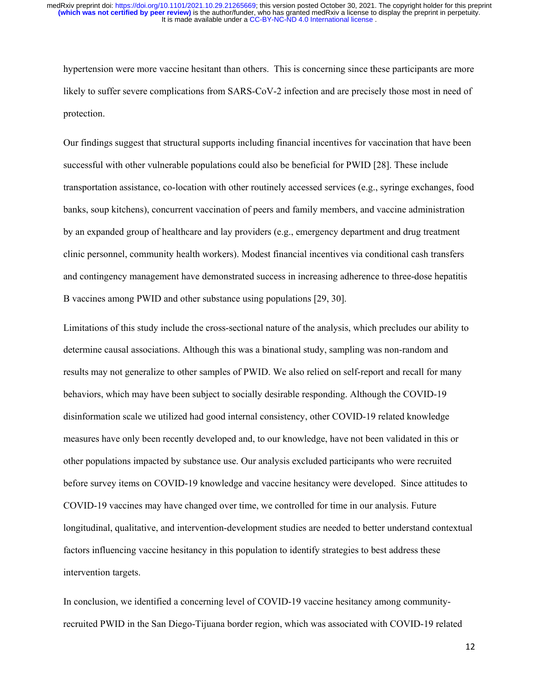hypertension were more vaccine hesitant than others. This is concerning since these participants are more likely to suffer severe complications from SARS-CoV-2 infection and are precisely those most in need of protection.

Our findings suggest that structural supports including financial incentives for vaccination that have been successful with other vulnerable populations could also be beneficial for PWID [28]. These include transportation assistance, co-location with other routinely accessed services (e.g., syringe exchanges, food banks, soup kitchens), concurrent vaccination of peers and family members, and vaccine administration by an expanded group of healthcare and lay providers (e.g., emergency department and drug treatment clinic personnel, community health workers). Modest financial incentives via conditional cash transfers and contingency management have demonstrated success in increasing adherence to three-dose hepatitis B vaccines among PWID and other substance using populations [29, 30].

Limitations of this study include the cross-sectional nature of the analysis, which precludes our ability to determine causal associations. Although this was a binational study, sampling was non-random and results may not generalize to other samples of PWID. We also relied on self-report and recall for many behaviors, which may have been subject to socially desirable responding. Although the COVID-19 disinformation scale we utilized had good internal consistency, other COVID-19 related knowledge measures have only been recently developed and, to our knowledge, have not been validated in this or other populations impacted by substance use. Our analysis excluded participants who were recruited before survey items on COVID-19 knowledge and vaccine hesitancy were developed. Since attitudes to COVID-19 vaccines may have changed over time, we controlled for time in our analysis. Future longitudinal, qualitative, and intervention-development studies are needed to better understand contextual factors influencing vaccine hesitancy in this population to identify strategies to best address these intervention targets.

In conclusion, we identified a concerning level of COVID-19 vaccine hesitancy among communityrecruited PWID in the San Diego-Tijuana border region, which was associated with COVID-19 related

12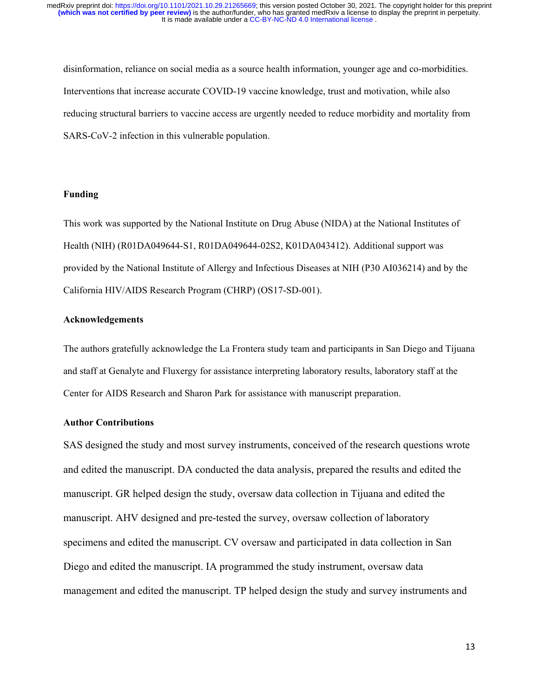disinformation, reliance on social media as a source health information, younger age and co-morbidities. Interventions that increase accurate COVID-19 vaccine knowledge, trust and motivation, while also reducing structural barriers to vaccine access are urgently needed to reduce morbidity and mortality from SARS-CoV-2 infection in this vulnerable population.

#### **Funding**

This work was supported by the National Institute on Drug Abuse (NIDA) at the National Institutes of Health (NIH) (R01DA049644-S1, R01DA049644-02S2, K01DA043412). Additional support was provided by the National Institute of Allergy and Infectious Diseases at NIH (P30 AI036214) and by the California HIV/AIDS Research Program (CHRP) (OS17-SD-001).

### **Acknowledgements**

The authors gratefully acknowledge the La Frontera study team and participants in San Diego and Tijuana and staff at Genalyte and Fluxergy for assistance interpreting laboratory results, laboratory staff at the Center for AIDS Research and Sharon Park for assistance with manuscript preparation.

### **Author Contributions**

SAS designed the study and most survey instruments, conceived of the research questions wrote and edited the manuscript. DA conducted the data analysis, prepared the results and edited the manuscript. GR helped design the study, oversaw data collection in Tijuana and edited the manuscript. AHV designed and pre-tested the survey, oversaw collection of laboratory specimens and edited the manuscript. CV oversaw and participated in data collection in San Diego and edited the manuscript. IA programmed the study instrument, oversaw data management and edited the manuscript. TP helped design the study and survey instruments and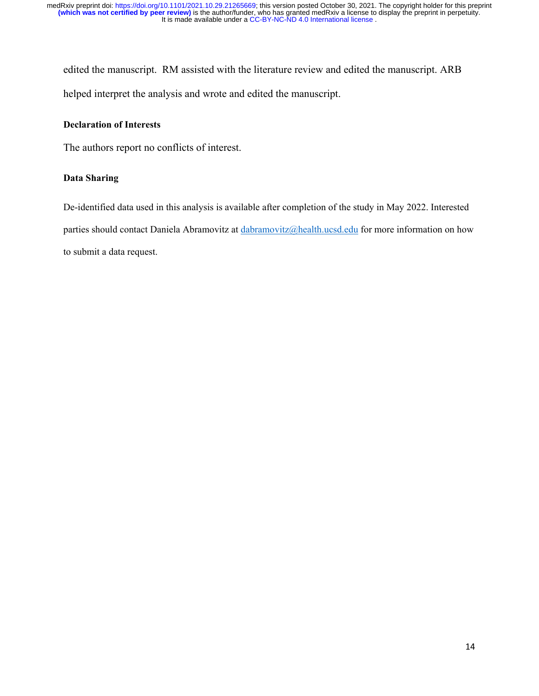edited the manuscript. RM assisted with the literature review and edited the manuscript. ARB helped interpret the analysis and wrote and edited the manuscript.

### **Declaration of Interests**

The authors report no conflicts of interest.

### **Data Sharing**

De-identified data used in this analysis is available after completion of the study in May 2022. Interested parties should contact Daniela Abramovitz at [dabramovitz@health.ucsd.edu](mailto:dabramovitz@health.ucsd.edu) for more information on how to submit a data request.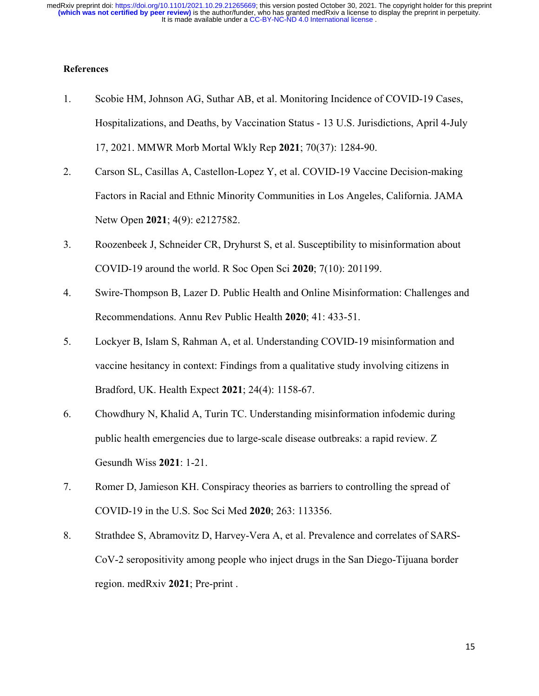## **References**

- 1. Scobie HM, Johnson AG, Suthar AB, et al. Monitoring Incidence of COVID-19 Cases, Hospitalizations, and Deaths, by Vaccination Status - 13 U.S. Jurisdictions, April 4-July 17, 2021. MMWR Morb Mortal Wkly Rep **2021**; 70(37): 1284-90.
- 2. Carson SL, Casillas A, Castellon-Lopez Y, et al. COVID-19 Vaccine Decision-making Factors in Racial and Ethnic Minority Communities in Los Angeles, California. JAMA Netw Open **2021**; 4(9): e2127582.
- 3. Roozenbeek J, Schneider CR, Dryhurst S, et al. Susceptibility to misinformation about COVID-19 around the world. R Soc Open Sci **2020**; 7(10): 201199.
- 4. Swire-Thompson B, Lazer D. Public Health and Online Misinformation: Challenges and Recommendations. Annu Rev Public Health **2020**; 41: 433-51.
- 5. Lockyer B, Islam S, Rahman A, et al. Understanding COVID-19 misinformation and vaccine hesitancy in context: Findings from a qualitative study involving citizens in Bradford, UK. Health Expect **2021**; 24(4): 1158-67.
- 6. Chowdhury N, Khalid A, Turin TC. Understanding misinformation infodemic during public health emergencies due to large-scale disease outbreaks: a rapid review. Z Gesundh Wiss **2021**: 1-21.
- 7. Romer D, Jamieson KH. Conspiracy theories as barriers to controlling the spread of COVID-19 in the U.S. Soc Sci Med **2020**; 263: 113356.
- 8. Strathdee S, Abramovitz D, Harvey-Vera A, et al. Prevalence and correlates of SARS-CoV-2 seropositivity among people who inject drugs in the San Diego-Tijuana border region. medRxiv **2021**; Pre-print .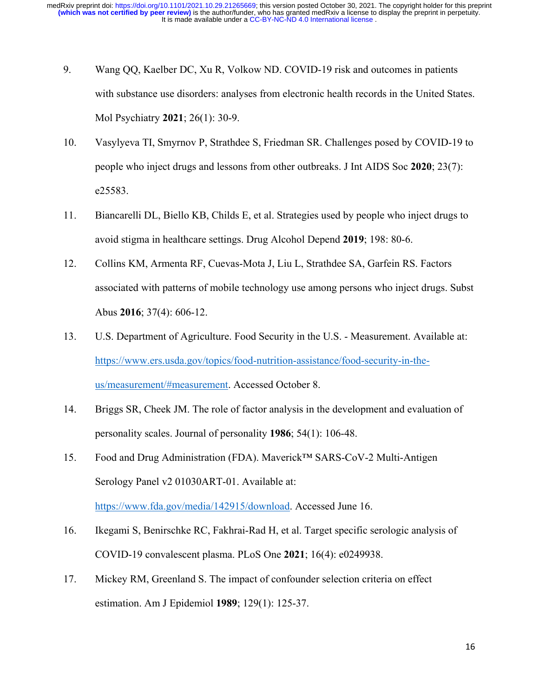- 9. Wang QQ, Kaelber DC, Xu R, Volkow ND. COVID-19 risk and outcomes in patients with substance use disorders: analyses from electronic health records in the United States. Mol Psychiatry **2021**; 26(1): 30-9.
- 10. Vasylyeva TI, Smyrnov P, Strathdee S, Friedman SR. Challenges posed by COVID-19 to people who inject drugs and lessons from other outbreaks. J Int AIDS Soc **2020**; 23(7): e25583.
- 11. Biancarelli DL, Biello KB, Childs E, et al. Strategies used by people who inject drugs to avoid stigma in healthcare settings. Drug Alcohol Depend **2019**; 198: 80-6.
- 12. Collins KM, Armenta RF, Cuevas-Mota J, Liu L, Strathdee SA, Garfein RS. Factors associated with patterns of mobile technology use among persons who inject drugs. Subst Abus **2016**; 37(4): 606-12.
- 13. U.S. Department of Agriculture. Food Security in the U.S. Measurement. Available at: [https://www.ers.usda.gov/topics/food-nutrition-assistance/food-security-in-the](https://www.ers.usda.gov/topics/food-nutrition-assistance/food-security-in-the-us/measurement/#measurement)[us/measurement/#measurement.](https://www.ers.usda.gov/topics/food-nutrition-assistance/food-security-in-the-us/measurement/#measurement) Accessed October 8.
- 14. Briggs SR, Cheek JM. The role of factor analysis in the development and evaluation of personality scales. Journal of personality **1986**; 54(1): 106-48.
- 15. Food and Drug Administration (FDA). Maverick™ SARS-CoV-2 Multi-Antigen Serology Panel v2 01030ART-01. Available at: [https://www.fda.gov/media/142915/download.](https://www.fda.gov/media/142915/download) Accessed June 16.
- 16. Ikegami S, Benirschke RC, Fakhrai-Rad H, et al. Target specific serologic analysis of COVID-19 convalescent plasma. PLoS One **2021**; 16(4): e0249938.
- 17. Mickey RM, Greenland S. The impact of confounder selection criteria on effect estimation. Am J Epidemiol **1989**; 129(1): 125-37.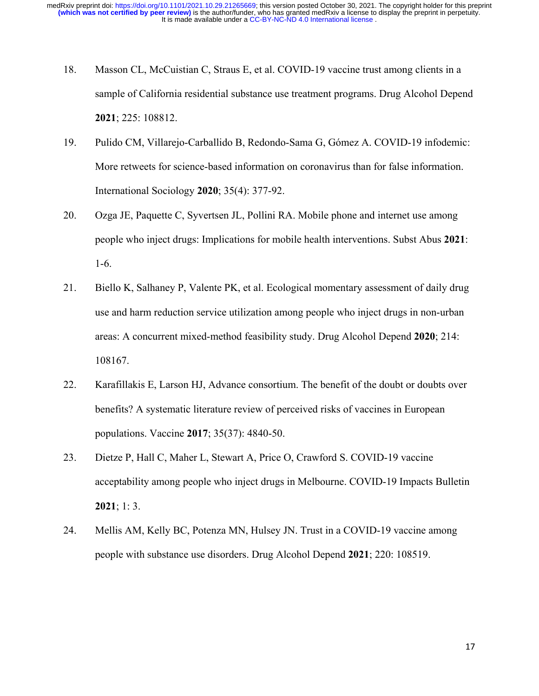- 18. Masson CL, McCuistian C, Straus E, et al. COVID-19 vaccine trust among clients in a sample of California residential substance use treatment programs. Drug Alcohol Depend **2021**; 225: 108812.
- 19. Pulido CM, Villarejo-Carballido B, Redondo-Sama G, Gómez A. COVID-19 infodemic: More retweets for science-based information on coronavirus than for false information. International Sociology **2020**; 35(4): 377-92.
- 20. Ozga JE, Paquette C, Syvertsen JL, Pollini RA. Mobile phone and internet use among people who inject drugs: Implications for mobile health interventions. Subst Abus **2021**: 1-6.
- 21. Biello K, Salhaney P, Valente PK, et al. Ecological momentary assessment of daily drug use and harm reduction service utilization among people who inject drugs in non-urban areas: A concurrent mixed-method feasibility study. Drug Alcohol Depend **2020**; 214: 108167.
- 22. Karafillakis E, Larson HJ, Advance consortium. The benefit of the doubt or doubts over benefits? A systematic literature review of perceived risks of vaccines in European populations. Vaccine **2017**; 35(37): 4840-50.
- 23. Dietze P, Hall C, Maher L, Stewart A, Price O, Crawford S. COVID‐19 vaccine acceptability among people who inject drugs in Melbourne. COVID‐19 Impacts Bulletin **2021**; 1: 3.
- 24. Mellis AM, Kelly BC, Potenza MN, Hulsey JN. Trust in a COVID-19 vaccine among people with substance use disorders. Drug Alcohol Depend **2021**; 220: 108519.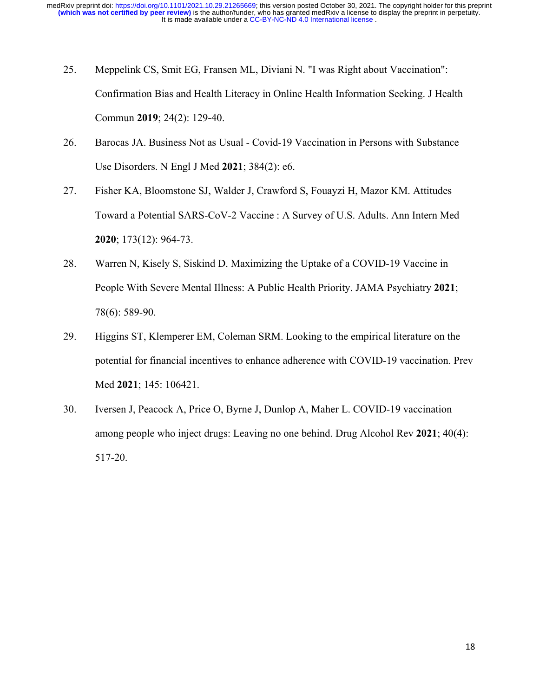- 25. Meppelink CS, Smit EG, Fransen ML, Diviani N. "I was Right about Vaccination": Confirmation Bias and Health Literacy in Online Health Information Seeking. J Health Commun **2019**; 24(2): 129-40.
- 26. Barocas JA. Business Not as Usual Covid-19 Vaccination in Persons with Substance Use Disorders. N Engl J Med **2021**; 384(2): e6.
- 27. Fisher KA, Bloomstone SJ, Walder J, Crawford S, Fouayzi H, Mazor KM. Attitudes Toward a Potential SARS-CoV-2 Vaccine : A Survey of U.S. Adults. Ann Intern Med **2020**; 173(12): 964-73.
- 28. Warren N, Kisely S, Siskind D. Maximizing the Uptake of a COVID-19 Vaccine in People With Severe Mental Illness: A Public Health Priority. JAMA Psychiatry **2021**; 78(6): 589-90.
- 29. Higgins ST, Klemperer EM, Coleman SRM. Looking to the empirical literature on the potential for financial incentives to enhance adherence with COVID-19 vaccination. Prev Med **2021**; 145: 106421.
- 30. Iversen J, Peacock A, Price O, Byrne J, Dunlop A, Maher L. COVID-19 vaccination among people who inject drugs: Leaving no one behind. Drug Alcohol Rev **2021**; 40(4): 517-20.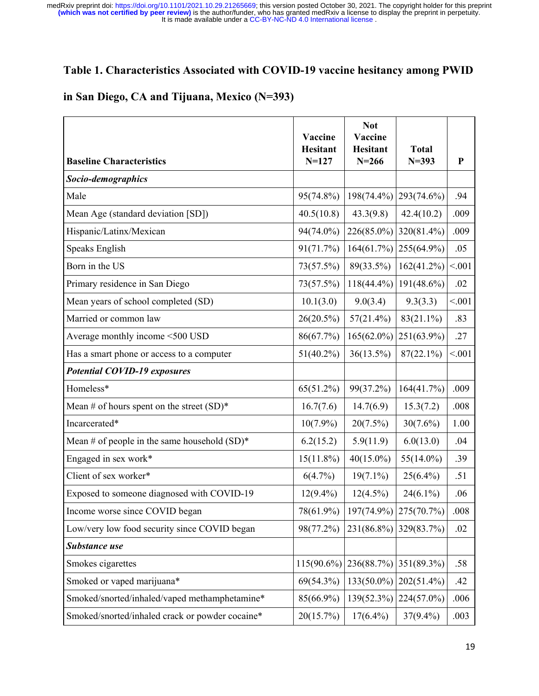## **Table 1. Characteristics Associated with COVID-19 vaccine hesitancy among PWID**

## **in San Diego, CA and Tijuana, Mexico (N=393)**

| <b>Baseline Characteristics</b>                 | Vaccine<br><b>Hesitant</b><br>$N = 127$ | <b>Not</b><br>Vaccine<br><b>Hesitant</b><br>$N = 266$ | <b>Total</b><br>$N = 393$ | ${\bf P}$ |
|-------------------------------------------------|-----------------------------------------|-------------------------------------------------------|---------------------------|-----------|
| Socio-demographics                              |                                         |                                                       |                           |           |
| Male                                            | 95(74.8%)                               | 198(74.4%)                                            | 293(74.6%)                | .94       |
| Mean Age (standard deviation [SD])              | 40.5(10.8)                              | 43.3(9.8)                                             | 42.4(10.2)                | .009      |
| Hispanic/Latinx/Mexican                         | 94(74.0%)                               | 226(85.0%)                                            | 320(81.4%)                | .009      |
| Speaks English                                  | 91(71.7%)                               | 164(61.7%)                                            | 255(64.9%)                | .05       |
| Born in the US                                  | 73(57.5%)                               | 89(33.5%)                                             | 162(41.2%)                | < .001    |
| Primary residence in San Diego                  | 73(57.5%)                               | $118(44.4\%)$                                         | $191(48.6\%)$             | .02       |
| Mean years of school completed (SD)             | 10.1(3.0)                               | 9.0(3.4)                                              | 9.3(3.3)                  | < .001    |
| Married or common law                           | 26(20.5%)                               | $57(21.4\%)$                                          | 83(21.1%)                 | .83       |
| Average monthly income <500 USD                 | 86(67.7%)                               | $165(62.0\%)$                                         | 251(63.9%)                | .27       |
| Has a smart phone or access to a computer       | $51(40.2\%)$                            | $36(13.5\%)$                                          | $87(22.1\%)$              | < 0.01    |
| <b>Potential COVID-19 exposures</b>             |                                         |                                                       |                           |           |
| Homeless*                                       | 65(51.2%)                               | 99(37.2%)                                             | 164(41.7%)                | .009      |
| Mean # of hours spent on the street $(SD)^*$    | 16.7(7.6)                               | 14.7(6.9)                                             | 15.3(7.2)                 | .008      |
| Incarcerated*                                   | $10(7.9\%)$                             | 20(7.5%)                                              | $30(7.6\%)$               | 1.00      |
| Mean # of people in the same household $(SD)^*$ | 6.2(15.2)                               | 5.9(11.9)                                             | 6.0(13.0)                 | .04       |
| Engaged in sex work*                            | $15(11.8\%)$                            | $40(15.0\%)$                                          | $55(14.0\%)$              | .39       |
| Client of sex worker*                           | 6(4.7%)                                 | $19(7.1\%)$                                           | $25(6.4\%)$               | .51       |
| Exposed to someone diagnosed with COVID-19      | $12(9.4\%)$                             | $12(4.5\%)$                                           | $24(6.1\%)$               | .06       |
| Income worse since COVID began                  | 78(61.9%)                               |                                                       | $197(74.9\%)$ 275(70.7%)  | .008      |
| Low/very low food security since COVID began    | 98(77.2%)                               |                                                       | 231(86.8%) 329(83.7%)     | .02       |
| Substance use                                   |                                         |                                                       |                           |           |
| Smokes cigarettes                               | $115(90.6\%)$                           | 236(88.7%)                                            | 351(89.3%)                | .58       |
| Smoked or vaped marijuana*                      | 69(54.3%)                               | $133(50.0\%)$                                         | $202(51.4\%)$             | .42       |
| Smoked/snorted/inhaled/vaped methamphetamine*   | 85(66.9%)                               | 139(52.3%)                                            | 224(57.0%)                | .006      |
| Smoked/snorted/inhaled crack or powder cocaine* | 20(15.7%)                               | $17(6.4\%)$                                           | $37(9.4\%)$               | .003      |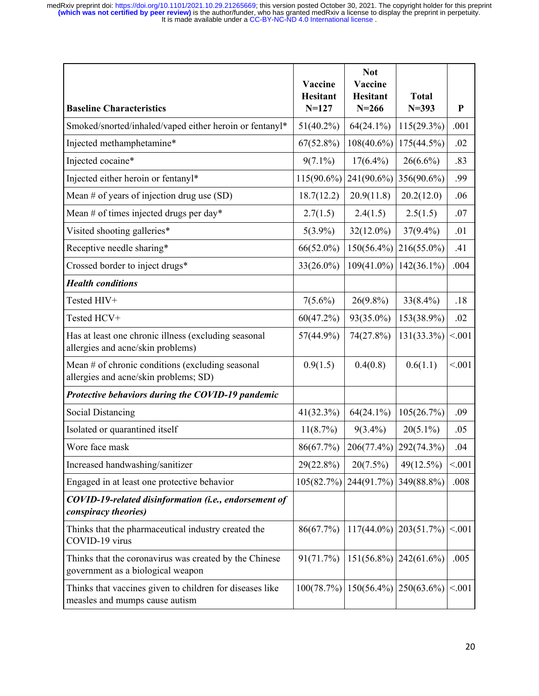| <b>Baseline Characteristics</b>                                                             | Vaccine<br><b>Hesitant</b><br>$N = 127$ | <b>Not</b><br>Vaccine<br><b>Hesitant</b><br>$N = 266$ | <b>Total</b><br>$N = 393$ | $\mathbf{P}$ |
|---------------------------------------------------------------------------------------------|-----------------------------------------|-------------------------------------------------------|---------------------------|--------------|
| Smoked/snorted/inhaled/vaped either heroin or fentanyl*                                     | $51(40.2\%)$                            | $64(24.1\%)$                                          | 115(29.3%)                | .001         |
| Injected methamphetamine*                                                                   | $67(52.8\%)$                            | $108(40.6\%)$                                         | 175(44.5%)                | .02          |
| Injected cocaine*                                                                           | $9(7.1\%)$                              | $17(6.4\%)$                                           | $26(6.6\%)$               | .83          |
| Injected either heroin or fentanyl*                                                         | $115(90.6\%)$                           | 241(90.6%)                                            | 356(90.6%)                | .99          |
| Mean $#$ of years of injection drug use $(SD)$                                              | 18.7(12.2)                              | 20.9(11.8)                                            | 20.2(12.0)                | .06          |
| Mean # of times injected drugs per day*                                                     | 2.7(1.5)                                | 2.4(1.5)                                              | 2.5(1.5)                  | .07          |
| Visited shooting galleries*                                                                 | $5(3.9\%)$                              | $32(12.0\%)$                                          | $37(9.4\%)$               | .01          |
| Receptive needle sharing*                                                                   | 66(52.0%)                               | 150(56.4%)                                            | $216(55.0\%)$             | .41          |
| Crossed border to inject drugs*                                                             | 33(26.0%)                               | 109(41.0%)                                            | $142(36.1\%)$             | .004         |
| <b>Health conditions</b>                                                                    |                                         |                                                       |                           |              |
| Tested HIV+                                                                                 | $7(5.6\%)$                              | $26(9.8\%)$                                           | $33(8.4\%)$               | .18          |
| Tested HCV+                                                                                 | 60(47.2%)                               | 93(35.0%)                                             | 153(38.9%)                | .02          |
| Has at least one chronic illness (excluding seasonal<br>allergies and acne/skin problems)   | 57(44.9%)                               | 74(27.8%)                                             | 131(33.3%)                | < 0.01       |
| Mean # of chronic conditions (excluding seasonal<br>allergies and acne/skin problems; SD)   | 0.9(1.5)                                | 0.4(0.8)                                              | 0.6(1.1)                  | < 0.01       |
| Protective behaviors during the COVID-19 pandemic                                           |                                         |                                                       |                           |              |
| <b>Social Distancing</b>                                                                    | 41(32.3%)                               | $64(24.1\%)$                                          | 105(26.7%)                | .09          |
| Isolated or quarantined itself                                                              | 11(8.7%)                                | $9(3.4\%)$                                            | $20(5.1\%)$               | .05          |
| Wore face mask                                                                              | 86(67.7%)                               | 206(77.4%)                                            | 292(74.3%)                | .04          |
| Increased handwashing/sanitizer                                                             | 29(22.8%)                               | 20(7.5%)                                              | 49(12.5%)                 | < 0.01       |
| Engaged in at least one protective behavior                                                 | 105(82.7%)                              | 244(91.7%)                                            | 349(88.8%)                | .008         |
| COVID-19-related disinformation (i.e., endorsement of<br>conspiracy theories)               |                                         |                                                       |                           |              |
| Thinks that the pharmaceutical industry created the<br>COVID-19 virus                       | 86(67.7%)                               | $117(44.0\%)$                                         | 203(51.7%)                | < 0.01       |
| Thinks that the coronavirus was created by the Chinese<br>government as a biological weapon | 91(71.7%)                               | $151(56.8\%)$                                         | 242(61.6%)                | .005         |
| Thinks that vaccines given to children for diseases like<br>measles and mumps cause autism  | 100(78.7%)                              | $150(56.4\%)$                                         | $250(63.6\%)$             | < 0.01       |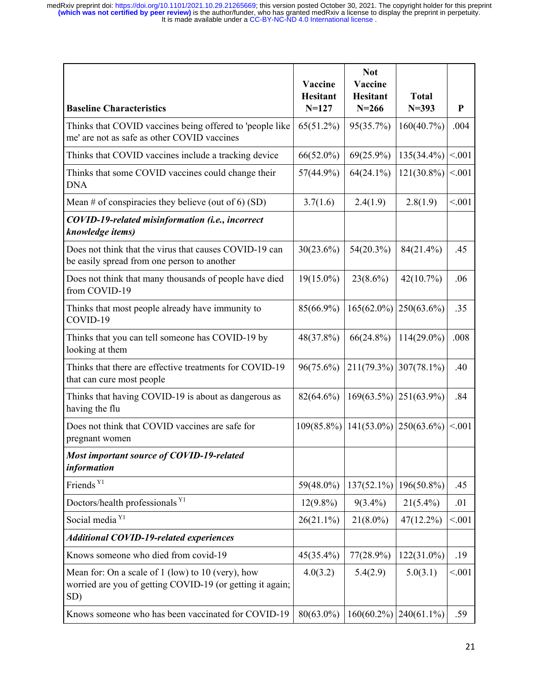| <b>Baseline Characteristics</b>                                                                                           | Vaccine<br><b>Hesitant</b><br>$N = 127$ | <b>Not</b><br>Vaccine<br><b>Hesitant</b><br>$N = 266$ | <b>Total</b><br>$N = 393$ | P       |
|---------------------------------------------------------------------------------------------------------------------------|-----------------------------------------|-------------------------------------------------------|---------------------------|---------|
| Thinks that COVID vaccines being offered to 'people like<br>me' are not as safe as other COVID vaccines                   | $65(51.2\%)$                            | 95(35.7%)                                             | 160(40.7%)                | .004    |
| Thinks that COVID vaccines include a tracking device                                                                      | $66(52.0\%)$                            | $69(25.9\%)$                                          | 135(34.4%)                | < 0.01  |
| Thinks that some COVID vaccines could change their<br><b>DNA</b>                                                          | 57(44.9%)                               | $64(24.1\%)$                                          | 121(30.8%)                | < 0.01  |
| Mean # of conspiracies they believe (out of 6) (SD)                                                                       | 3.7(1.6)                                | 2.4(1.9)                                              | 2.8(1.9)                  | < 0.01  |
| COVID-19-related misinformation (i.e., incorrect<br>knowledge items)                                                      |                                         |                                                       |                           |         |
| Does not think that the virus that causes COVID-19 can<br>be easily spread from one person to another                     | $30(23.6\%)$                            | $54(20.3\%)$                                          | 84(21.4%)                 | .45     |
| Does not think that many thousands of people have died<br>from COVID-19                                                   | $19(15.0\%)$                            | $23(8.6\%)$                                           | 42(10.7%)                 | .06     |
| Thinks that most people already have immunity to<br>COVID-19                                                              | 85(66.9%)                               | $165(62.0\%)$                                         | $250(63.6\%)$             | .35     |
| Thinks that you can tell someone has COVID-19 by<br>looking at them                                                       | 48(37.8%)                               | $66(24.8\%)$                                          | $114(29.0\%)$             | .008    |
| Thinks that there are effective treatments for COVID-19<br>that can cure most people                                      | 96(75.6%)                               | 211(79.3%)                                            | $307(78.1\%)$             | .40     |
| Thinks that having COVID-19 is about as dangerous as<br>having the flu                                                    | 82(64.6%)                               | 169(63.5%)                                            | $251(63.9\%)$             | .84     |
| Does not think that COVID vaccines are safe for<br>pregnant women                                                         | $109(85.8\%)$                           | $141(53.0\%)$                                         | $250(63.6\%)$             | < 0.001 |
| Most important source of COVID-19-related<br>information                                                                  |                                         |                                                       |                           |         |
| Friends <sup>Y1</sup>                                                                                                     | 59(48.0%)                               | 137(52.1%)                                            | 196(50.8%)                | .45     |
| Doctors/health professionals Y1                                                                                           | $12(9.8\%)$                             | $9(3.4\%)$                                            | $21(5.4\%)$               | .01     |
| Social media <sup>Y1</sup>                                                                                                | $26(21.1\%)$                            | $21(8.0\%)$                                           | $47(12.2\%)$              | < 0.001 |
| <b>Additional COVID-19-related experiences</b>                                                                            |                                         |                                                       |                           |         |
| Knows someone who died from covid-19                                                                                      | $45(35.4\%)$                            | $77(28.9\%)$                                          | $122(31.0\%)$             | .19     |
| Mean for: On a scale of $1$ (low) to $10$ (very), how<br>worried are you of getting COVID-19 (or getting it again;<br>SD) | 4.0(3.2)                                | 5.4(2.9)                                              | 5.0(3.1)                  | < 0.01  |
| Knows someone who has been vaccinated for COVID-19                                                                        | 80(63.0%)                               | $160(60.2\%)$                                         | $240(61.1\%)$             | .59     |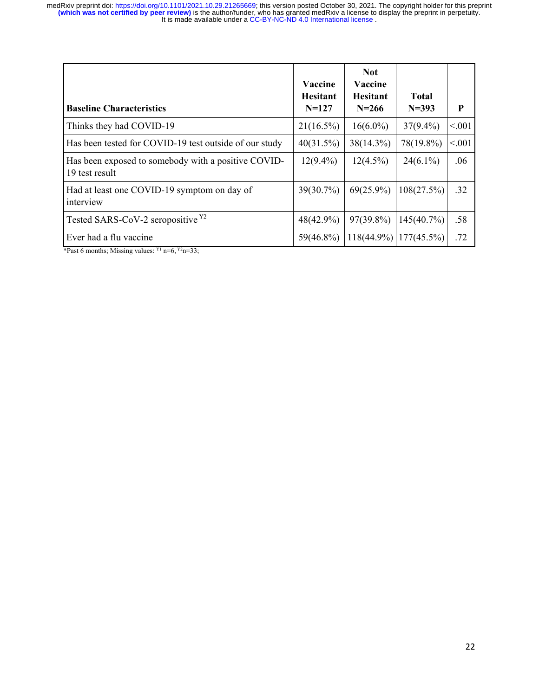| <b>Baseline Characteristics</b>                                       | Vaccine<br><b>Hesitant</b><br>$N=127$ | <b>Not</b><br>Vaccine<br><b>Hesitant</b><br>$N = 266$ | <b>Total</b><br>$N = 393$ | P       |
|-----------------------------------------------------------------------|---------------------------------------|-------------------------------------------------------|---------------------------|---------|
| Thinks they had COVID-19                                              | $21(16.5\%)$                          | $16(6.0\%)$                                           | $37(9.4\%)$               | < .001  |
| Has been tested for COVID-19 test outside of our study                | 40(31.5%)                             | 38(14.3%)                                             | 78(19.8%)                 | < 0.001 |
| Has been exposed to somebody with a positive COVID-<br>19 test result | $12(9.4\%)$                           | $12(4.5\%)$                                           | $24(6.1\%)$               | .06     |
| Had at least one COVID-19 symptom on day of<br>interview              | $39(30.7\%)$                          | $69(25.9\%)$                                          | 108(27.5%)                | .32     |
| Tested SARS-CoV-2 seropositive Y2                                     | $48(42.9\%)$                          | $97(39.8\%)$                                          | 145(40.7%)                | .58     |
| Ever had a flu vaccine                                                | $59(46.8\%)$                          | $118(44.9\%)$                                         | $177(45.5\%)$             | .72     |

\*Past 6 months; Missing values:  $Y_1$  n=6,  $Y_2$ n=33;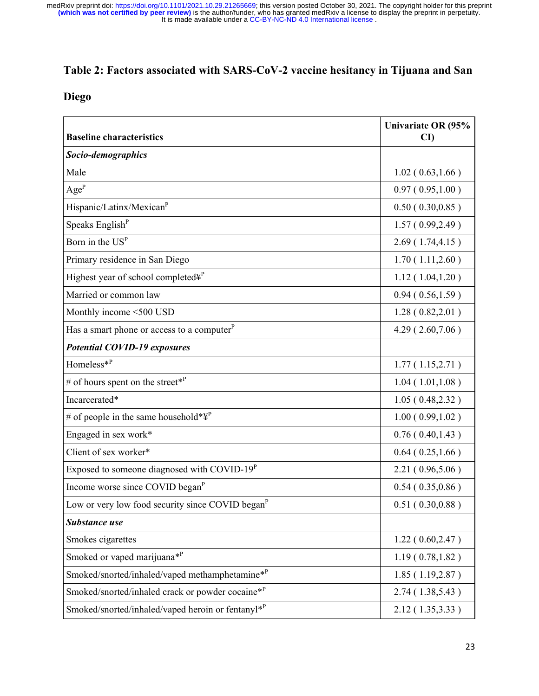## **Table 2: Factors associated with SARS-CoV-2 vaccine hesitancy in Tijuana and San**

## **Diego**

| <b>Baseline characteristics</b>                              | Univariate OR (95%<br>$\mathbf{C}\mathbf{D}$ |
|--------------------------------------------------------------|----------------------------------------------|
| Socio-demographics                                           |                                              |
| Male                                                         | 1.02(0.63, 1.66)                             |
| $\mathbf{Age}^\mathbf{P}$                                    | 0.97(0.95, 1.00)                             |
| Hispanic/Latinx/Mexican <sup>P</sup>                         | 0.50(0.30, 0.85)                             |
| Speaks English <sup>P</sup>                                  | 1.57(0.99, 2.49)                             |
| Born in the $USP$                                            | 2.69(1.74, 4.15)                             |
| Primary residence in San Diego                               | 1.70(1.11, 2.60)                             |
| Highest year of school completed¥ <sup>P</sup>               | 1.12(1.04, 1.20)                             |
| Married or common law                                        | 0.94(0.56, 1.59)                             |
| Monthly income <500 USD                                      | 1.28(0.82, 2.01)                             |
| Has a smart phone or access to a computer <sup>P</sup>       | 4.29(2.60,7.06)                              |
| <b>Potential COVID-19 exposures</b>                          |                                              |
| Homeless $*^P$                                               | 1.77(1.15, 2.71)                             |
| # of hours spent on the street* <sup>P</sup>                 | 1.04(1.01, 1.08)                             |
| Incarcerated*                                                | 1.05(0.48, 2.32)                             |
| # of people in the same household* $\Psi^P$                  | 1.00(0.99, 1.02)                             |
| Engaged in sex work*                                         | 0.76(0.40, 1.43)                             |
| Client of sex worker*                                        | 0.64(0.25, 1.66)                             |
| Exposed to someone diagnosed with COVID- $19^P$              | 2.21(0.96, 5.06)                             |
| Income worse since COVID began <sup>P</sup>                  | 0.54(0.35, 0.86)                             |
| Low or very low food security since COVID began <sup>P</sup> | 0.51(0.30, 0.88)                             |
| <b>Substance use</b>                                         |                                              |
| Smokes cigarettes                                            | 1.22(0.60, 2.47)                             |
| Smoked or vaped marijuana* <sup>P</sup>                      | 1.19(0.78, 1.82)                             |
| Smoked/snorted/inhaled/vaped methamphetamine*P               | 1.85(1.19, 2.87)                             |
| Smoked/snorted/inhaled crack or powder cocaine $*^P$         | 2.74(1.38, 5.43)                             |
| Smoked/snorted/inhaled/vaped heroin or fentanyl*P            | 2.12(1.35, 3.33)                             |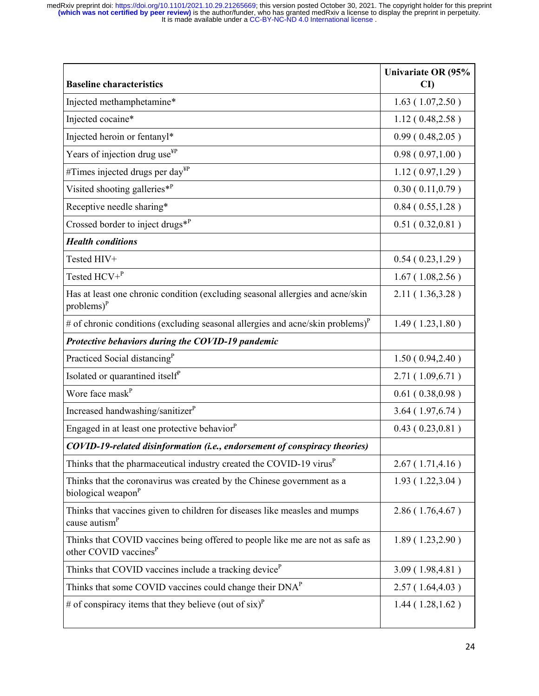| <b>Baseline characteristics</b>                                                                                    | Univariate OR (95%<br>$\mathbf{C}\mathbf{D}$ |
|--------------------------------------------------------------------------------------------------------------------|----------------------------------------------|
| Injected methamphetamine*                                                                                          | 1.63(1.07, 2.50)                             |
| Injected cocaine*                                                                                                  | 1.12(0.48, 2.58)                             |
| Injected heroin or fentanyl*                                                                                       | 0.99(0.48, 2.05)                             |
| Years of injection drug use <sup>¥P</sup>                                                                          | 0.98(0.97, 1.00)                             |
| #Times injected drugs per day $_{\text{HP}}$                                                                       | 1.12(0.97, 1.29)                             |
| Visited shooting galleries $*^P$                                                                                   | 0.30(0.11, 0.79)                             |
| Receptive needle sharing*                                                                                          | 0.84(0.55, 1.28)                             |
| Crossed border to inject drugs $*^P$                                                                               | 0.51(0.32, 0.81)                             |
| <b>Health conditions</b>                                                                                           |                                              |
| Tested HIV+                                                                                                        | 0.54(0.23, 1.29)                             |
| Tested $HCV + P$                                                                                                   | 1.67(1.08, 2.56)                             |
| Has at least one chronic condition (excluding seasonal allergies and acne/skin<br>$problems)^P$                    | 2.11(1.36, 3.28)                             |
| # of chronic conditions (excluding seasonal allergies and acne/skin problems) $^P$                                 | 1.49(1.23, 1.80)                             |
| Protective behaviors during the COVID-19 pandemic                                                                  |                                              |
| Practiced Social distancing <sup>P</sup>                                                                           | 1.50(0.94, 2.40)                             |
| Isolated or quarantined itself <sup>p</sup>                                                                        | 2.71(1.09,6.71)                              |
| Wore face mask <sup>P</sup>                                                                                        | 0.61(0.38, 0.98)                             |
| Increased handwashing/sanitizer <sup>P</sup>                                                                       | 3.64(1.97, 6.74)                             |
| Engaged in at least one protective behavior <sup>p</sup>                                                           | 0.43(0.23, 0.81)                             |
| COVID-19-related disinformation (i.e., endorsement of conspiracy theories)                                         |                                              |
| Thinks that the pharmaceutical industry created the COVID-19 virus <sup><math>P</math></sup>                       | 2.67(1.71, 4.16)                             |
| Thinks that the coronavirus was created by the Chinese government as a<br>biological weapon <sup>P</sup>           | 1.93(1.22, 3.04)                             |
| Thinks that vaccines given to children for diseases like measles and mumps<br>cause autism <sup>P</sup>            | 2.86(1.76, 4.67)                             |
| Thinks that COVID vaccines being offered to people like me are not as safe as<br>other COVID vaccines <sup>P</sup> | 1.89(1.23, 2.90)                             |
| Thinks that COVID vaccines include a tracking device <sup>P</sup>                                                  | 3.09(1.98, 4.81)                             |
| Thinks that some COVID vaccines could change their $DNAP$                                                          | 2.57(1.64, 4.03)                             |
| # of conspiracy items that they believe (out of six) <sup>P</sup>                                                  | 1.44(1.28, 1.62)                             |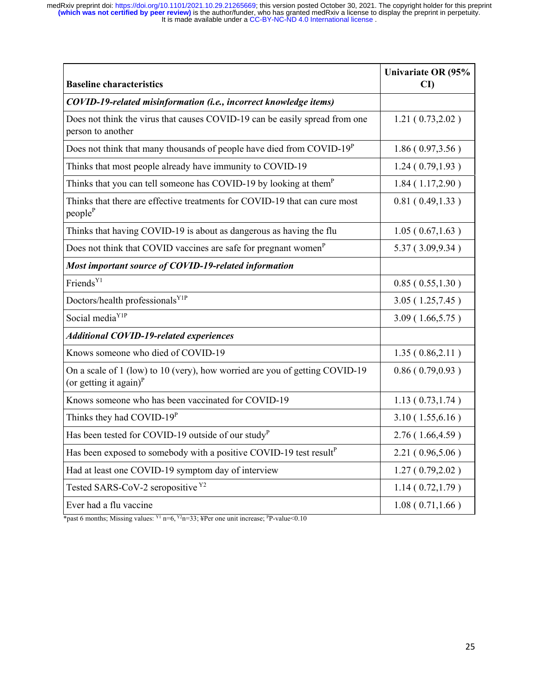| <b>Baseline characteristics</b>                                                                          | Univariate OR (95%<br>$\mathbf{C}\mathbf{D}$ |
|----------------------------------------------------------------------------------------------------------|----------------------------------------------|
| COVID-19-related misinformation (i.e., incorrect knowledge items)                                        |                                              |
| Does not think the virus that causes COVID-19 can be easily spread from one<br>person to another         | 1.21(0.73, 2.02)                             |
| Does not think that many thousands of people have died from COVID- $19^P$                                | 1.86(0.97, 3.56)                             |
| Thinks that most people already have immunity to COVID-19                                                | 1.24(0.79, 1.93)                             |
| Thinks that you can tell someone has COVID-19 by looking at them <sup>P</sup>                            | 1.84(1.17,2.90)                              |
| Thinks that there are effective treatments for COVID-19 that can cure most<br>people <sup>P</sup>        | 0.81(0.49, 1.33)                             |
| Thinks that having COVID-19 is about as dangerous as having the flu                                      | 1.05(0.67, 1.63)                             |
| Does not think that COVID vaccines are safe for pregnant women <sup>P</sup>                              | 5.37(3.09, 9.34)                             |
| Most important source of COVID-19-related information                                                    |                                              |
| Friends <sup>Y1</sup>                                                                                    | 0.85(0.55, 1.30)                             |
| Doctors/health professionals <sup>Y1P</sup>                                                              | 3.05(1.25,7.45)                              |
| Social media <sup>Y1P</sup>                                                                              | 3.09(1.66, 5.75)                             |
| <b>Additional COVID-19-related experiences</b>                                                           |                                              |
| Knows someone who died of COVID-19                                                                       | 1.35(0.86, 2.11)                             |
| On a scale of 1 (low) to 10 (very), how worried are you of getting COVID-19<br>(or getting it again) $P$ | 0.86(0.79, 0.93)                             |
| Knows someone who has been vaccinated for COVID-19                                                       | 1.13(0.73, 1.74)                             |
| Thinks they had COVID-19 <sup>P</sup>                                                                    | 3.10(1.55, 6.16)                             |
| Has been tested for COVID-19 outside of our study <sup>P</sup>                                           | 2.76(1.66, 4.59)                             |
| Has been exposed to somebody with a positive COVID-19 test result <sup>P</sup>                           | 2.21(0.96, 5.06)                             |
| Had at least one COVID-19 symptom day of interview                                                       | 1.27(0.79, 2.02)                             |
| Tested SARS-CoV-2 seropositive Y2                                                                        | 1.14(0.72, 1.79)                             |
| Ever had a flu vaccine                                                                                   | 1.08(0.71, 1.66)                             |

\*past 6 months; Missing values:  $Y^1$  n=6,  $Y^2$ n=33; ¥Per one unit increase;  $P$ P-value<0.10